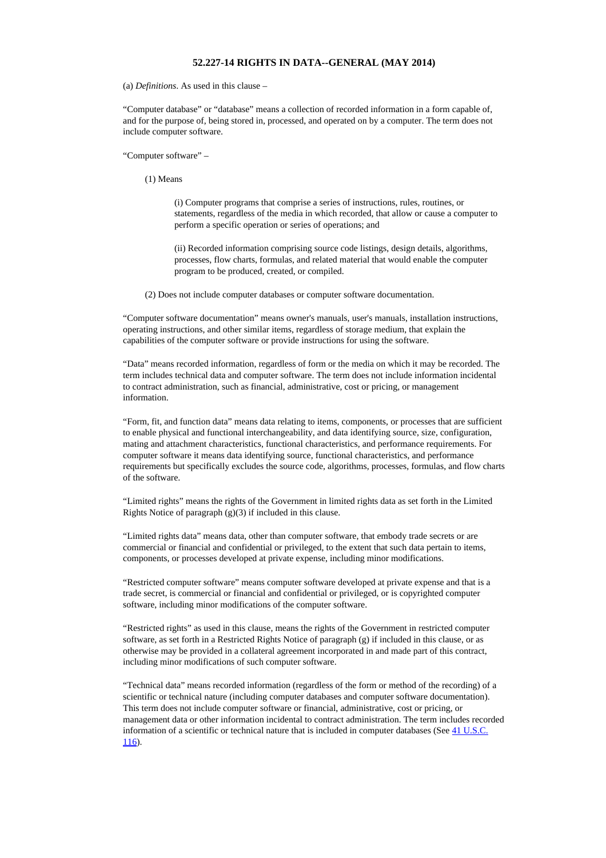## **52.227-14 RIGHTS IN DATA--GENERAL (MAY 2014)**

## (a) *Definitions*. As used in this clause –

"Computer database" or "database" means a collection of recorded information in a form capable of, and for the purpose of, being stored in, processed, and operated on by a computer. The term does not include computer software.

"Computer software" –

(1) Means

(i) Computer programs that comprise a series of instructions, rules, routines, or statements, regardless of the media in which recorded, that allow or cause a computer to perform a specific operation or series of operations; and

(ii) Recorded information comprising source code listings, design details, algorithms, processes, flow charts, formulas, and related material that would enable the computer program to be produced, created, or compiled.

(2) Does not include computer databases or computer software documentation.

"Computer software documentation" means owner's manuals, user's manuals, installation instructions, operating instructions, and other similar items, regardless of storage medium, that explain the capabilities of the computer software or provide instructions for using the software.

"Data" means recorded information, regardless of form or the media on which it may be recorded. The term includes technical data and computer software. The term does not include information incidental to contract administration, such as financial, administrative, cost or pricing, or management information.

"Form, fit, and function data" means data relating to items, components, or processes that are sufficient to enable physical and functional interchangeability, and data identifying source, size, configuration, mating and attachment characteristics, functional characteristics, and performance requirements. For computer software it means data identifying source, functional characteristics, and performance requirements but specifically excludes the source code, algorithms, processes, formulas, and flow charts of the software.

"Limited rights" means the rights of the Government in limited rights data as set forth in the Limited Rights Notice of paragraph  $(g)(3)$  if included in this clause.

"Limited rights data" means data, other than computer software, that embody trade secrets or are commercial or financial and confidential or privileged, to the extent that such data pertain to items, components, or processes developed at private expense, including minor modifications.

"Restricted computer software" means computer software developed at private expense and that is a trade secret, is commercial or financial and confidential or privileged, or is copyrighted computer software, including minor modifications of the computer software.

"Restricted rights" as used in this clause, means the rights of the Government in restricted computer software, as set forth in a Restricted Rights Notice of paragraph (g) if included in this clause, or as otherwise may be provided in a collateral agreement incorporated in and made part of this contract, including minor modifications of such computer software.

"Technical data" means recorded information (regardless of the form or method of the recording) of a scientific or technical nature (including computer databases and computer software documentation). This term does not include computer software or financial, administrative, cost or pricing, or management data or other information incidental to contract administration. The term includes recorded information of a scientific or technical nature that is included in computer databases (See 41 [U.S.C.](http://uscode.house.gov/) 116).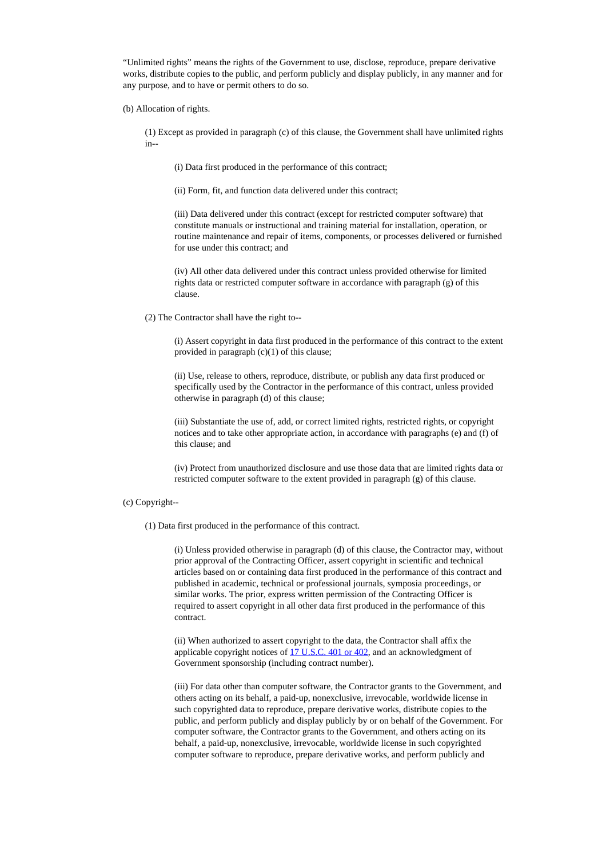"Unlimited rights" means the rights of the Government to use, disclose, reproduce, prepare derivative works, distribute copies to the public, and perform publicly and display publicly, in any manner and for any purpose, and to have or permit others to do so.

(b) Allocation of rights.

(1) Except as provided in paragraph (c) of this clause, the Government shall have unlimited rights in--

(i) Data first produced in the performance of this contract;

(ii) Form, fit, and function data delivered under this contract;

(iii) Data delivered under this contract (except for restricted computer software) that constitute manuals or instructional and training material for installation, operation, or routine maintenance and repair of items, components, or processes delivered or furnished for use under this contract; and

(iv) All other data delivered under this contract unless provided otherwise for limited rights data or restricted computer software in accordance with paragraph (g) of this clause.

(2) The Contractor shall have the right to--

(i) Assert copyright in data first produced in the performance of this contract to the extent provided in paragraph  $(c)(1)$  of this clause;

(ii) Use, release to others, reproduce, distribute, or publish any data first produced or specifically used by the Contractor in the performance of this contract, unless provided otherwise in paragraph (d) of this clause;

(iii) Substantiate the use of, add, or correct limited rights, restricted rights, or copyright notices and to take other appropriate action, in accordance with paragraphs (e) and (f) of this clause; and

(iv) Protect from unauthorized disclosure and use those data that are limited rights data or restricted computer software to the extent provided in paragraph (g) of this clause.

(c) Copyright--

(1) Data first produced in the performance of this contract.

(i) Unless provided otherwise in paragraph (d) of this clause, the Contractor may, without prior approval of the Contracting Officer, assert copyright in scientific and technical articles based on or containing data first produced in the performance of this contract and published in academic, technical or professional journals, symposia proceedings, or similar works. The prior, express written permission of the Contracting Officer is required to assert copyright in all other data first produced in the performance of this contract.

(ii) When authorized to assert copyright to the data, the Contractor shall affix the applicable copyright notices of  $17$  [U.S.C.](http://uscode.house.gov/uscode-cgi/fastweb.exe?getdoc+uscview+t29t32+1665+30++%2831%29%20%20AND%20%28%2831%29%20ADJ%20USC%29%3ACITE%20%20%20%20%20%20%20%20%20) 401 or 402, and an acknowledgment of Government sponsorship (including contract number).

(iii) For data other than computer software, the Contractor grants to the Government, and others acting on its behalf, a paid-up, nonexclusive, irrevocable, worldwide license in such copyrighted data to reproduce, prepare derivative works, distribute copies to the public, and perform publicly and display publicly by or on behalf of the Government. For computer software, the Contractor grants to the Government, and others acting on its behalf, a paid-up, nonexclusive, irrevocable, worldwide license in such copyrighted computer software to reproduce, prepare derivative works, and perform publicly and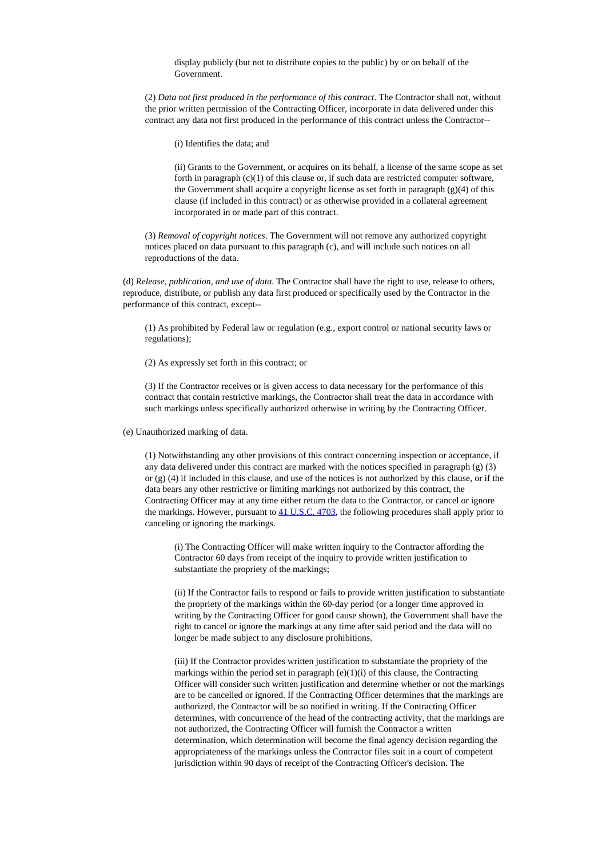display publicly (but not to distribute copies to the public) by or on behalf of the Government.

(2) *Data not first produced in the performance of this contract*. The Contractor shall not, without the prior written permission of the Contracting Officer, incorporate in data delivered under this contract any data not first produced in the performance of this contract unless the Contractor--

(i) Identifies the data; and

(ii) Grants to the Government, or acquires on its behalf, a license of the same scope as set forth in paragraph (c)(1) of this clause or, if such data are restricted computer software, the Government shall acquire a copyright license as set forth in paragraph (g)(4) of this clause (if included in this contract) or as otherwise provided in a collateral agreement incorporated in or made part of this contract.

(3) *Removal of copyright notices*. The Government will not remove any authorized copyright notices placed on data pursuant to this paragraph (c), and will include such notices on all reproductions of the data.

(d) *Release, publication, and use of data*. The Contractor shall have the right to use, release to others, reproduce, distribute, or publish any data first produced or specifically used by the Contractor in the performance of this contract, except--

(1) As prohibited by Federal law or regulation (e.g., export control or national security laws or regulations);

(2) As expressly set forth in this contract; or

(3) If the Contractor receives or is given access to data necessary for the performance of this contract that contain restrictive markings, the Contractor shall treat the data in accordance with such markings unless specifically authorized otherwise in writing by the Contracting Officer.

(e) Unauthorized marking of data.

(1) Notwithstanding any other provisions of this contract concerning inspection or acceptance, if any data delivered under this contract are marked with the notices specified in paragraph (g) (3) or  $(g)$  (4) if included in this clause, and use of the notices is not authorized by this clause, or if the data bears any other restrictive or limiting markings not authorized by this contract, the Contracting Officer may at any time either return the data to the Contractor, or cancel or ignore the markings. However, pursuant to 41 [U.S.C.](http://uscode.house.gov/uscode-cgi/fastweb.exe?getdoc+uscview+t29t32+1665+30++%2831%29%20%20AND%20%28%2831%29%20ADJ%20USC%29%3ACITE%20%20%20%20%20%20%20%20%20) 4703, the following procedures shall apply prior to canceling or ignoring the markings.

(i) The Contracting Officer will make written inquiry to the Contractor affording the Contractor 60 days from receipt of the inquiry to provide written justification to substantiate the propriety of the markings;

(ii) If the Contractor fails to respond or fails to provide written justification to substantiate the propriety of the markings within the 60-day period (or a longer time approved in writing by the Contracting Officer for good cause shown), the Government shall have the right to cancel or ignore the markings at any time after said period and the data will no longer be made subject to any disclosure prohibitions.

(iii) If the Contractor provides written justification to substantiate the propriety of the markings within the period set in paragraph  $(e)(1)(i)$  of this clause, the Contracting Officer will consider such written justification and determine whether or not the markings are to be cancelled or ignored. If the Contracting Officer determines that the markings are authorized, the Contractor will be so notified in writing. If the Contracting Officer determines, with concurrence of the head of the contracting activity, that the markings are not authorized, the Contracting Officer will furnish the Contractor a written determination, which determination will become the final agency decision regarding the appropriateness of the markings unless the Contractor files suit in a court of competent jurisdiction within 90 days of receipt of the Contracting Officer's decision. The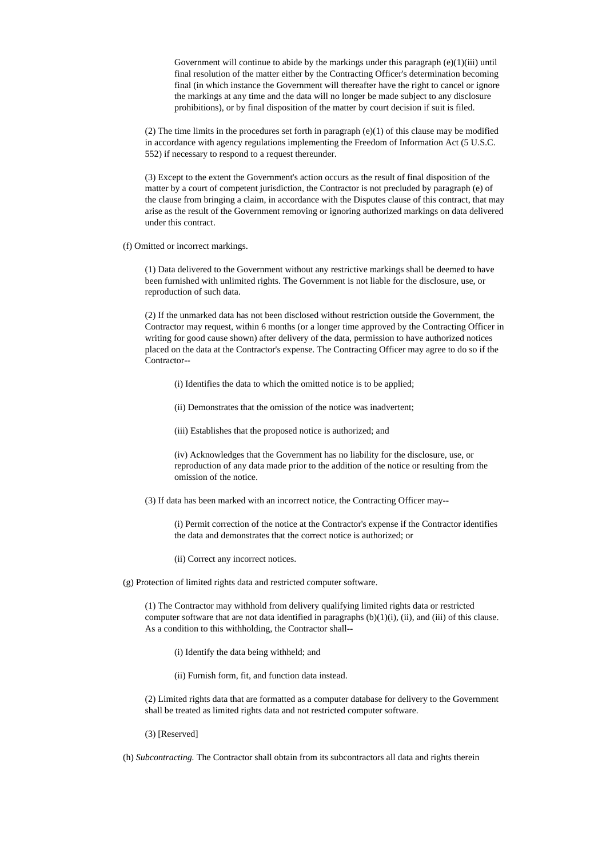Government will continue to abide by the markings under this paragraph  $(e)(1)(iii)$  until final resolution of the matter either by the Contracting Officer's determination becoming final (in which instance the Government will thereafter have the right to cancel or ignore the markings at any time and the data will no longer be made subject to any disclosure prohibitions), or by final disposition of the matter by court decision if suit is filed.

(2) The time limits in the procedures set forth in paragraph  $(e)(1)$  of this clause may be modified in accordance with agency regulations implementing the Freedom of Information Act (5 U.S.C. 552) if necessary to respond to a request thereunder.

(3) Except to the extent the Government's action occurs as the result of final disposition of the matter by a court of competent jurisdiction, the Contractor is not precluded by paragraph (e) of the clause from bringing a claim, in accordance with the Disputes clause of this contract, that may arise as the result of the Government removing or ignoring authorized markings on data delivered under this contract.

(f) Omitted or incorrect markings.

(1) Data delivered to the Government without any restrictive markings shall be deemed to have been furnished with unlimited rights. The Government is not liable for the disclosure, use, or reproduction of such data.

(2) If the unmarked data has not been disclosed without restriction outside the Government, the Contractor may request, within 6 months (or a longer time approved by the Contracting Officer in writing for good cause shown) after delivery of the data, permission to have authorized notices placed on the data at the Contractor's expense. The Contracting Officer may agree to do so if the Contractor--

(i) Identifies the data to which the omitted notice is to be applied;

(ii) Demonstrates that the omission of the notice was inadvertent;

(iii) Establishes that the proposed notice is authorized; and

(iv) Acknowledges that the Government has no liability for the disclosure, use, or reproduction of any data made prior to the addition of the notice or resulting from the omission of the notice.

(3) If data has been marked with an incorrect notice, the Contracting Officer may--

(i) Permit correction of the notice at the Contractor's expense if the Contractor identifies the data and demonstrates that the correct notice is authorized; or

(ii) Correct any incorrect notices.

(g) Protection of limited rights data and restricted computer software.

(1) The Contractor may withhold from delivery qualifying limited rights data or restricted computer software that are not data identified in paragraphs (b)(1)(i), (ii), and (iii) of this clause. As a condition to this withholding, the Contractor shall--

(i) Identify the data being withheld; and

(ii) Furnish form, fit, and function data instead.

(2) Limited rights data that are formatted as a computer database for delivery to the Government shall be treated as limited rights data and not restricted computer software.

(3) [Reserved]

(h) *Subcontracting.* The Contractor shall obtain from its subcontractors all data and rights therein